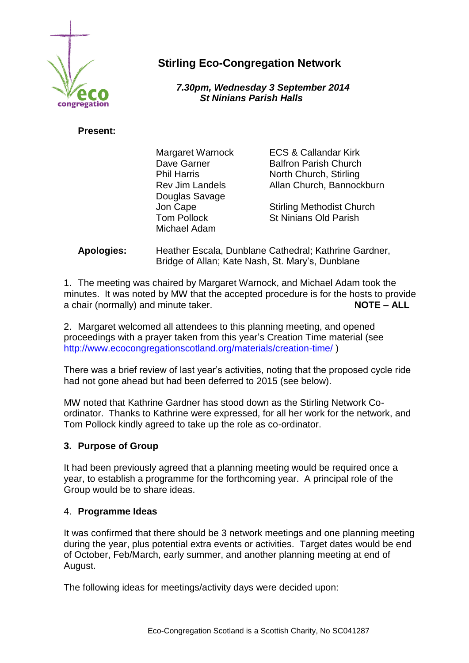

# **Stirling Eco-Congregation Network**

 *7.30pm, Wednesday 3 September 2014 St Ninians Parish Halls*

## **Present:**

| Margaret Warnock       |   |
|------------------------|---|
| Dave Garner            | B |
| <b>Phil Harris</b>     |   |
| <b>Rev Jim Landels</b> | А |
| Douglas Savage         |   |
| Jon Cape               | S |
| <b>Tom Pollock</b>     | S |
| Michael Adam           |   |
|                        |   |

CS & Callandar Kirk alfron Parish Church Iorth Church, Stirling, Ilan Church, Bannockburn

Itirling Methodist Church it Ninians Old Parish

**Apologies:** Heather Escala, Dunblane Cathedral; Kathrine Gardner, Bridge of Allan; Kate Nash, St. Mary's, Dunblane

1. The meeting was chaired by Margaret Warnock, and Michael Adam took the minutes. It was noted by MW that the accepted procedure is for the hosts to provide a chair (normally) and minute taker. **NOTE – ALL**

2. Margaret welcomed all attendees to this planning meeting, and opened proceedings with a prayer taken from this year's Creation Time material (see <http://www.ecocongregationscotland.org/materials/creation-time/> )

There was a brief review of last year's activities, noting that the proposed cycle ride had not gone ahead but had been deferred to 2015 (see below).

MW noted that Kathrine Gardner has stood down as the Stirling Network Coordinator. Thanks to Kathrine were expressed, for all her work for the network, and Tom Pollock kindly agreed to take up the role as co-ordinator.

# **3. Purpose of Group**

It had been previously agreed that a planning meeting would be required once a year, to establish a programme for the forthcoming year. A principal role of the Group would be to share ideas.

#### 4. **Programme Ideas**

It was confirmed that there should be 3 network meetings and one planning meeting during the year, plus potential extra events or activities. Target dates would be end of October, Feb/March, early summer, and another planning meeting at end of August.

The following ideas for meetings/activity days were decided upon: